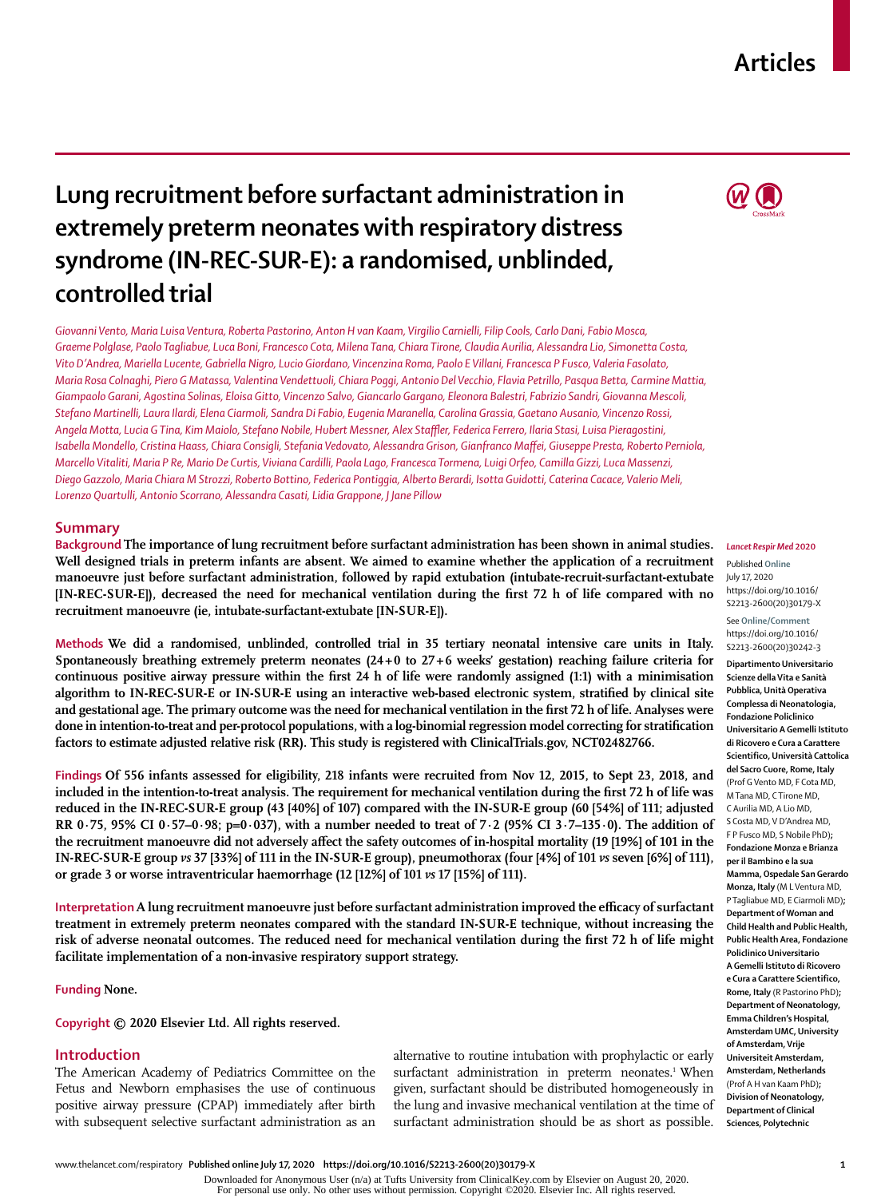## **Articles**

# **Lung recruitment before surfactant administration in extremely preterm neonates with respiratory distress syndrome (IN-REC-SUR-E): a randomised, unblinded, controlled trial**

*Giovanni Vento, Maria Luisa Ventura, Roberta Pastorino, Anton H van Kaam, Virgilio Carnielli, Filip Cools, Carlo Dani, Fabio Mosca, Graeme Polglase, Paolo Tagliabue, Luca Boni, Francesco Cota, Milena Tana, Chiara Tirone, Claudia Aurilia, Alessandra Lio, Simonetta Costa, Vito D'Andrea, Mariella Lucente, Gabriella Nigro, Lucio Giordano, Vincenzina Roma, Paolo E Villani, Francesca P Fusco, Valeria Fasolato, Maria Rosa Colnaghi, Piero G Matassa, Valentina Vendettuoli, Chiara Poggi, Antonio Del Vecchio, Flavia Petrillo, Pasqua Betta, Carmine Mattia, Giampaolo Garani, Agostina Solinas, Eloisa Gitto, Vincenzo Salvo, Giancarlo Gargano, Eleonora Balestri, Fabrizio Sandri, Giovanna Mescoli, Stefano Martinelli, Laura Ilardi, Elena Ciarmoli, Sandra Di Fabio, Eugenia Maranella, Carolina Grassia, Gaetano Ausanio, Vincenzo Rossi, Angela Motta, Lucia G Tina, Kim Maiolo, Stefano Nobile, Hubert Messner, Alex Staffler, Federica Ferrero, Ilaria Stasi, Luisa Pieragostini, Isabella Mondello, Cristina Haass, Chiara Consigli, Stefania Vedovato, Alessandra Grison, Gianfranco Maffei, Giuseppe Presta, Roberto Perniola, Marcello Vitaliti, Maria P Re, Mario De Curtis, Viviana Cardilli, Paola Lago, Francesca Tormena, Luigi Orfeo, Camilla Gizzi, Luca Massenzi, Diego Gazzolo, Maria Chiara M Strozzi, Roberto Bottino, Federica Pontiggia, Alberto Berardi, Isotta Guidotti, Caterina Cacace, Valerio Meli, Lorenzo Quartulli, Antonio Scorrano, Alessandra Casati, Lidia Grappone, J Jane Pillow*

## **Summary**

**Background The importance of lung recruitment before surfactant administration has been shown in animal studies. Well designed trials in preterm infants are absent. We aimed to examine whether the application of a recruitment manoeuvre just before surfactant administration, followed by rapid extubation (intubate-recruit-surfactant-extubate [IN-REC-SUR-E]), decreased the need for mechanical ventilation during the first 72 h of life compared with no recruitment manoeuvre (ie, intubate-surfactant-extubate [IN-SUR-E]).**

**Methods We did a randomised, unblinded, controlled trial in 35 tertiary neonatal intensive care units in Italy. Spontaneously breathing extremely preterm neonates (24+0 to 27+6 weeks' gestation) reaching failure criteria for continuous positive airway pressure within the first 24 h of life were randomly assigned (1:1) with a minimisation algorithm to IN-REC-SUR-E or IN-SUR-E using an interactive web-based electronic system, stratified by clinical site and gestational age. The primary outcome was the need for mechanical ventilation in the first 72 h of life. Analyses were done in intention-to-treat and per-protocol populations, with a log-binomial regression model correcting for stratification factors to estimate adjusted relative risk (RR). This study is registered with ClinicalTrials.gov, NCT02482766.**

**Findings Of 556 infants assessed for eligibility, 218 infants were recruited from Nov 12, 2015, to Sept 23, 2018, and included in the intention-to-treat analysis. The requirement for mechanical ventilation during the first 72 h of life was reduced in the IN-REC-SUR-E group (43 [40%] of 107) compared with the IN-SUR-E group (60 [54%] of 111; adjusted RR 0·75, 95% CI 0·57–0·98; p=0·037), with a number needed to treat of 7·2 (95% CI 3·7–135·0). The addition of the recruitment manoeuvre did not adversely affect the safety outcomes of in-hospital mortality (19 [19%] of 101 in the IN-REC-SUR-E group** *vs* **37 [33%] of 111 in the IN-SUR-E group), pneumothorax (four [4%] of 101** *vs* **seven [6%] of 111), or grade 3 or worse intraventricular haemorrhage (12 [12%] of 101** *vs* **17 [15%] of 111).** 

**Interpretation A lung recruitment manoeuvre just before surfactant administration improved the efficacy of surfactant treatment in extremely preterm neonates compared with the standard IN-SUR-E technique, without increasing the risk of adverse neonatal outcomes. The reduced need for mechanical ventilation during the first 72 h of life might facilitate implementation of a non-invasive respiratory support strategy.**

## **Funding None.**

**Copyright © 2020 Elsevier Ltd. All rights reserved.**

## **Introduction**

The American Academy of Pediatrics Committee on the Fetus and Newborn emphasises the use of continuous positive airway pressure (CPAP) immediately after birth with subsequent selective surfactant administration as an alternative to routine intubation with prophylactic or early surfactant administration in preterm neonates.<sup>1</sup> When given, surfactant should be distributed homogeneously in the lung and invasive mechanical ventilation at the time of surfactant administration should be as short as possible.



*Lancet Respir Med* **2020**

#### Published **Online** July 17, 2020 https://doi.org/10.1016/ S2213-2600(20)30179-X

See **Online/Comment** https://doi.org/10.1016/ S2213-2600(20)30242-3

**Dipartimento Universitario Scienze della Vita e Sanità Pubblica, Unità Operativa Complessa di Neonatologia, Fondazione Policlinico Universitario A Gemelli Istituto di Ricovero e Cura a Carattere Scientifico, Università Cattolica del Sacro Cuore, Rome, Italy**  (Prof G Vento MD, F Cota MD, M Tana MD, C Tirone MD, C Aurilia MD, A Lio MD, S Costa MD, V D'Andrea MD, F P Fusco MD, S Nobile PhD)**; Fondazione Monza e Brianza per il Bambino e la sua Mamma, Ospedale San Gerardo Monza, Italy** (M L Ventura MD, P Tagliabue MD, E Ciarmoli MD)**; Department of Woman and Child Health and Public Health, Public Health Area, Fondazione Policlinico Universitario A Gemelli Istituto di Ricovero e Cura a Carattere Scientifico, Rome, Italy** (R Pastorino PhD)**; Department of Neonatology, Emma Children's Hospital, Amsterdam UMC, University of Amsterdam, Vrije Universiteit Amsterdam, Amsterdam, Netherlands**  (Prof A H van Kaam PhD)**; Division of Neonatology, Department of Clinical Sciences, Polytechnic** 

Downloaded for Anonymous User (n/a) at Tufts University from ClinicalKey.com by Elsevier on August 20, 2020.

For personal use only. No other uses without permission. Copyright ©2020. Elsevier Inc. All rights reserved.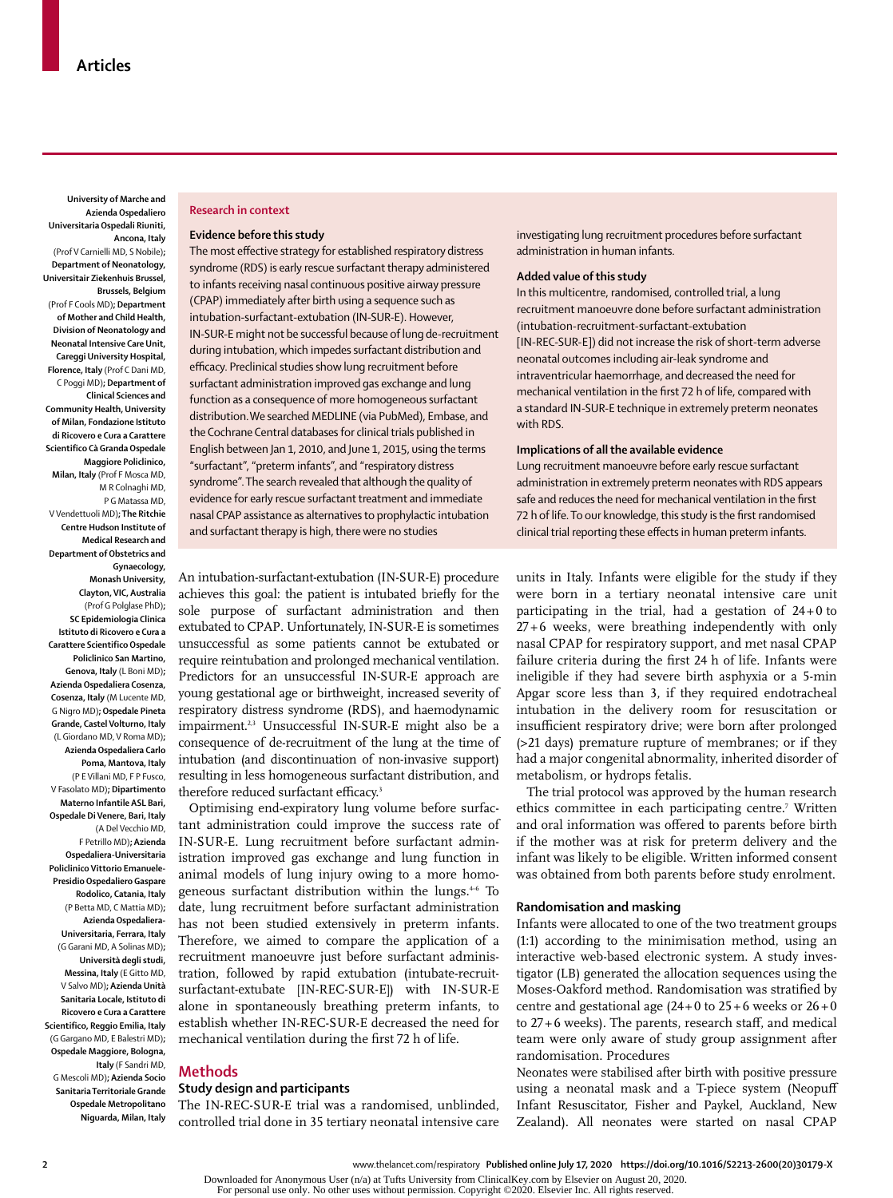**University of Marche and Azienda Ospedaliero Universitaria Ospedali Riuniti, Ancona, Italy**  (Prof V Carnielli MD, S Nobile)**; Department of Neonatology, Universitair Ziekenhuis Brussel, Brussels, Belgium**  (Prof F Cools MD)**; Department of Mother and Child Health, Division of Neonatology and Neonatal Intensive Care Unit, Careggi University Hospital, Florence, Italy** (Prof C Dani MD, C Poggi MD)**; Department of Clinical Sciences and Community Health, University of Milan, Fondazione Istituto di Ricovero e Cura a Carattere Scientifico Cà Granda Ospedale Maggiore Policlinico, Milan, Italy** (Prof F Mosca MD, M R Colnaghi MD, P G Matassa MD, V Vendettuoli MD)**; The Ritchie Centre Hudson Institute of Medical Research and Department of Obstetrics and Gynaecology, Monash University, Clayton, VIC, Australia**  (Prof G Polglase PhD)**; SC Epidemiologia Clinica Istituto di Ricovero e Cura a Carattere Scientifico Ospedale Policlinico San Martino, Genova, Italy** (L Boni MD)**; Azienda Ospedaliera Cosenza, Cosenza, Italy** (M Lucente MD, G Nigro MD)**; Ospedale Pineta Grande, Castel Volturno, Italy**  (L Giordano MD, V Roma MD)**; Azienda Ospedaliera Carlo Poma, Mantova, Italy** (P E Villani MD, F P Fusco, V Fasolato MD)**; Dipartimento Materno Infantile ASL Bari, Ospedale Di Venere, Bari, Italy**  (A Del Vecchio MD, F Petrillo MD)**; Azienda Ospedaliera-Universitaria Policlinico Vittorio Emanuele-Presidio Ospedaliero Gaspare Rodolico, Catania, Italy** (P Betta MD, C Mattia MD)**; Azienda Ospedaliera-Universitaria, Ferrara, Italy**  (G Garani MD, A Solinas MD)**; Università degli studi, Messina, Italy** (E Gitto MD, V Salvo MD)**; Azienda Unità Sanitaria Locale, Istituto di Ricovero e Cura a Carattere Scientifico, Reggio Emilia, Italy**  (G Gargano MD, E Balestri MD)**;** 

**Ospedale Maggiore, Bologna, Italy** (F Sandri MD, G Mescoli MD)**; Azienda Socio Sanitaria Territoriale Grande Ospedale Metropolitano Niguarda, Milan, Italy** 

#### **Research in context**

#### **Evidence before this study**

The most effective strategy for established respiratory distress syndrome (RDS) is early rescue surfactant therapy administered to infants receiving nasal continuous positive airway pressure (CPAP) immediately after birth using a sequence such as intubation-surfactant-extubation (IN-SUR-E). However, IN-SUR-E might not be successful because of lung de-recruitment during intubation, which impedes surfactant distribution and efficacy. Preclinical studies show lung recruitment before surfactant administration improved gas exchange and lung function as a consequence of more homogeneous surfactant distribution.We searched MEDLINE (via PubMed), Embase, and the Cochrane Central databases for clinical trials published in English between Jan 1, 2010, and June 1, 2015, using the terms "surfactant", "preterm infants", and "respiratory distress syndrome". The search revealed that although the quality of evidence for early rescue surfactant treatment and immediate nasal CPAP assistance as alternatives to prophylactic intubation and surfactant therapy is high, there were no studies

An intubation-surfactant-extubation (IN-SUR-E) procedure achieves this goal: the patient is intubated briefly for the sole purpose of surfactant administration and then extubated to CPAP. Unfortunately, IN-SUR-E is sometimes unsuccessful as some patients cannot be extubated or require reintubation and prolonged mechanical ventilation. Predictors for an unsuccessful IN-SUR-E approach are young gestational age or birthweight, increased severity of respiratory distress syndrome (RDS), and haemodynamic impairment.<sup>2,3</sup> Unsuccessful IN-SUR-E might also be a consequence of de-recruitment of the lung at the time of intubation (and discontinuation of non-invasive support) resulting in less homogeneous surfactant distribution, and therefore reduced surfactant efficacy.<sup>3</sup>

Optimising end-expiratory lung volume before surfactant administration could improve the success rate of IN-SUR-E. Lung recruitment before surfactant administration improved gas exchange and lung function in animal models of lung injury owing to a more homogeneous surfactant distribution within the lungs.<sup>46</sup> To date, lung recruitment before surfactant administration has not been studied extensively in preterm infants. Therefore, we aimed to compare the application of a recruitment manoeuvre just before surfactant administration, followed by rapid extubation (intubate-recruitsurfactant-extubate [IN-REC-SUR-E]) with IN-SUR-E alone in spontaneously breathing preterm infants, to establish whether IN-REC-SUR-E decreased the need for mechanical ventilation during the first 72 h of life.

## **Methods**

#### **Study design and participants**

The IN-REC-SUR-E trial was a randomised, unblinded, controlled trial done in 35 tertiary neonatal intensive care

investigating lung recruitment procedures before surfactant administration in human infants.

#### **Added value of this study**

In this multicentre, randomised, controlled trial, a lung recruitment manoeuvre done before surfactant administration (intubation-recruitment-surfactant-extubation [IN-REC-SUR-E]) did not increase the risk of short-term adverse neonatal outcomes including air-leak syndrome and intraventricular haemorrhage, and decreased the need for mechanical ventilation in the first 72 h of life, compared with a standard IN-SUR-E technique in extremely preterm neonates with RDS.

#### **Implications of all the available evidence**

Lung recruitment manoeuvre before early rescue surfactant administration in extremely preterm neonates with RDS appears safe and reduces the need for mechanical ventilation in the first 72 h of life. To our knowledge, this study is the first randomised clinical trial reporting these effects in human preterm infants.

units in Italy. Infants were eligible for the study if they were born in a tertiary neonatal intensive care unit participating in the trial, had a gestation of 24+0 to 27+6 weeks, were breathing independently with only nasal CPAP for respiratory support, and met nasal CPAP failure criteria during the first 24 h of life. Infants were ineligible if they had severe birth asphyxia or a 5-min Apgar score less than 3, if they required endotracheal intubation in the delivery room for resuscitation or insufficient respiratory drive; were born after prolonged (>21 days) premature rupture of membranes; or if they had a major congenital abnormality, inherited disorder of metabolism, or hydrops fetalis.

The trial protocol was approved by the human research ethics committee in each participating centre.<sup>7</sup> Written and oral information was offered to parents before birth if the mother was at risk for preterm delivery and the infant was likely to be eligible. Written informed consent was obtained from both parents before study enrolment.

## **Randomisation and masking**

Infants were allocated to one of the two treatment groups (1:1) according to the minimisation method, using an interactive web-based electronic system. A study investigator (LB) generated the allocation sequences using the Moses-Oakford method. Randomisation was stratified by centre and gestational age  $(24+0)$  to  $25+6$  weeks or  $26+0$ to 27+6 weeks). The parents, research staff, and medical team were only aware of study group assignment after randomisation. Procedures

Neonates were stabilised after birth with positive pressure using a neonatal mask and a T-piece system (Neopuff Infant Resuscitator, Fisher and Paykel, Auckland, New Zealand). All neonates were started on nasal CPAP

Downloaded for Anonymous User (n/a) at Tufts University from ClinicalKey.com by Elsevier on August 20, 2020.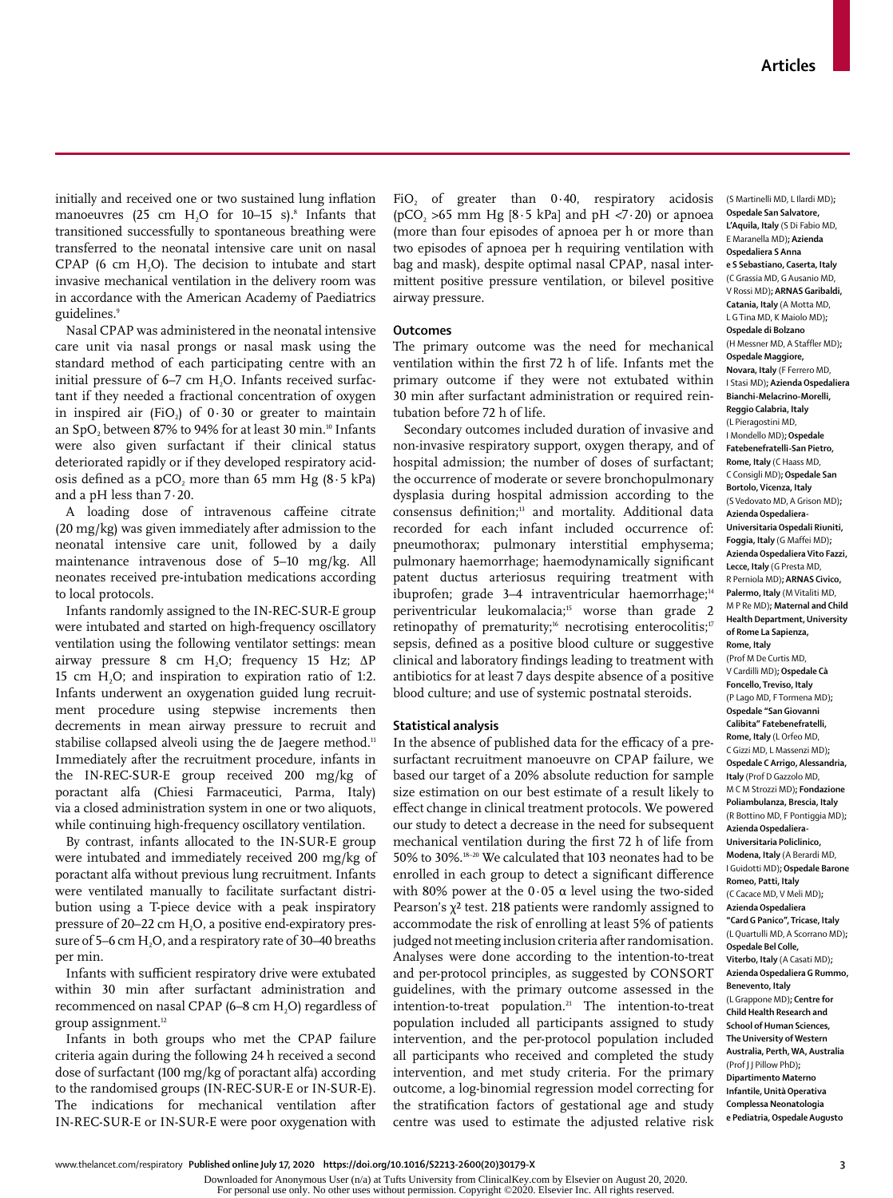initially and received one or two sustained lung inflation manoeuvres (25 cm  $H_2O$  for 10–15 s).<sup>8</sup> Infants that transitioned successfully to spontaneous breathing were transferred to the neonatal intensive care unit on nasal  $CPAP$  (6 cm  $H<sub>2</sub>O$ ). The decision to intubate and start invasive mechanical ventilation in the delivery room was in accordance with the American Academy of Paediatrics guidelines.9

Nasal CPAP was administered in the neonatal intensive care unit via nasal prongs or nasal mask using the standard method of each participating centre with an initial pressure of 6–7 cm H<sub>2</sub>O. Infants received surfactant if they needed a fractional concentration of oxygen in inspired air (FiO<sub>2</sub>) of  $0.30$  or greater to maintain an SpO<sub>2</sub> between 87% to 94% for at least 30 min.<sup>10</sup> Infants were also given surfactant if their clinical status deteriorated rapidly or if they developed respiratory acidosis defined as a pCO<sub>2</sub> more than 65 mm Hg  $(8.5 \text{ kPa})$ and a pH less than 7·20.

A loading dose of intravenous caffeine citrate (20 mg/kg) was given immediately after admission to the neonatal intensive care unit, followed by a daily maintenance intravenous dose of 5–10 mg/kg. All neonates received pre-intubation medications according to local protocols.

Infants randomly assigned to the IN-REC-SUR-E group were intubated and started on high-frequency oscillatory ventilation using the following ventilator settings: mean airway pressure 8 cm H<sub>2</sub>O; frequency 15 Hz;  $\Delta P$ 15 cm  $H<sub>2</sub>O$ ; and inspiration to expiration ratio of 1:2. Infants underwent an oxygenation guided lung recruitment procedure using stepwise increments then decrements in mean airway pressure to recruit and stabilise collapsed alveoli using the de Jaegere method.<sup>11</sup> Immediately after the recruitment procedure, infants in the IN-REC-SUR-E group received 200 mg/kg of poractant alfa (Chiesi Farmaceutici, Parma, Italy) via a closed administration system in one or two aliquots, while continuing high-frequency oscillatory ventilation.

By contrast, infants allocated to the IN-SUR-E group were intubated and immediately received 200 mg/kg of poractant alfa without previous lung recruitment. Infants were ventilated manually to facilitate surfactant distribution using a T-piece device with a peak inspiratory pressure of  $20-22$  cm  $H<sub>2</sub>O$ , a positive end-expiratory pressure of 5–6 cm  $H_2O$ , and a respiratory rate of 30–40 breaths per min.

Infants with sufficient respiratory drive were extubated within 30 min after surfactant administration and recommenced on nasal CPAP (6–8 cm H<sub>2</sub>O) regardless of group assignment.<sup>12</sup>

Infants in both groups who met the CPAP failure criteria again during the following 24 h received a second dose of surfactant (100 mg/kg of poractant alfa) according to the randomised groups (IN-REC-SUR-E or IN-SUR-E). The indications for mechanical ventilation after IN-REC-SUR-E or IN-SUR-E were poor oxygenation with FiO<sub>2</sub> of greater than  $0.40$ , respiratory acidosis (pCO<sub>2</sub> > 65 mm Hg [8·5 kPa] and pH  $\langle 7 \cdot 20 \rangle$  or apnoea (more than four episodes of apnoea per h or more than two episodes of apnoea per h requiring ventilation with bag and mask), despite optimal nasal CPAP, nasal intermittent positive pressure ventilation, or bilevel positive airway pressure.

### **Outcomes**

The primary outcome was the need for mechanical ventilation within the first 72 h of life. Infants met the primary outcome if they were not extubated within 30 min after surfactant administration or required reintubation before 72 h of life.

Secondary outcomes included duration of invasive and non-invasive respiratory support, oxygen therapy, and of hospital admission; the number of doses of surfactant; the occurrence of moderate or severe bronchopulmonary dysplasia during hospital admission according to the consensus definition;<sup>13</sup> and mortality. Additional data recorded for each infant included occurrence of: pneumothorax; pulmonary interstitial emphysema; pulmonary haemorrhage; haemodynamically significant patent ductus arteriosus requiring treatment with ibuprofen; grade 3-4 intraventricular haemorrhage;<sup>14</sup> periventricular leukomalacia;15 worse than grade 2 retinopathy of prematurity;<sup>16</sup> necrotising enterocolitis;<sup>17</sup> sepsis, defined as a positive blood culture or suggestive clinical and laboratory findings leading to treatment with antibiotics for at least 7 days despite absence of a positive blood culture; and use of systemic postnatal steroids.

#### **Statistical analysis**

In the absence of published data for the efficacy of a presurfactant recruitment manoeuvre on CPAP failure, we based our target of a 20% absolute reduction for sample size estimation on our best estimate of a result likely to effect change in clinical treatment protocols. We powered our study to detect a decrease in the need for subsequent mechanical ventilation during the first 72 h of life from 50% to 30%.18–20 We calculated that 103 neonates had to be enrolled in each group to detect a significant difference with 80% power at the  $0.05 \alpha$  level using the two-sided Pearson's  $\chi^2$  test. 218 patients were randomly assigned to accommodate the risk of enrolling at least 5% of patients judged not meeting inclusion criteria after randomisation. Analyses were done according to the intention-to-treat and per-protocol principles, as suggested by CONSORT guidelines, with the primary outcome assessed in the intention-to-treat population.<sup>21</sup> The intention-to-treat population included all participants assigned to study intervention, and the per-protocol population included all participants who received and completed the study intervention, and met study criteria. For the primary outcome, a log-binomial regression model correcting for the stratification factors of gestational age and study centre was used to estimate the adjusted relative risk

(S Martinelli MD, L Ilardi MD)**; Ospedale San Salvatore, L'Aquila, Italy** (S Di Fabio MD, E Maranella MD)**; Azienda Ospedaliera S Anna e S Sebastiano, Caserta, Italy**  (C Grassia MD, G Ausanio MD, V Rossi MD)**; ARNAS Garibaldi, Catania, Italy** (A Motta MD, L G Tina MD, K Maiolo MD)**; Ospedale di Bolzano**  (H Messner MD, A Staffler MD)**; Ospedale Maggiore, Novara, Italy** (F Ferrero MD, I Stasi MD)**; Azienda Ospedaliera Bianchi-Melacrino-Morelli, Reggio Calabria, Italy**  (L Pieragostini MD, I Mondello MD)**; Ospedale Fatebenefratelli-San Pietro, Rome, Italy** (C Haass MD, C Consigli MD)**; Ospedale San Bortolo, Vicenza, Italy**  (S Vedovato MD, A Grison MD)**; Azienda Ospedaliera-Universitaria Ospedali Riuniti, Foggia, Italy** (G Maffei MD)**; Azienda Ospedaliera Vito Fazzi, Lecce, Italy** (G Presta MD, R Perniola MD)**; ARNAS Civico, Palermo, Italy** (M Vitaliti MD, M P Re MD)**; Maternal and Child Health Department, University of Rome La Sapienza, Rome, Italy**  (Prof M De Curtis MD, V Cardilli MD)**; Ospedale Cà Foncello, Treviso, Italy**  (P Lago MD, F Tormena MD)**; Ospedale "San Giovanni Calibita" Fatebenefratelli, Rome, Italy** (L Orfeo MD, C Gizzi MD, L Massenzi MD)**; Ospedale C Arrigo, Alessandria, Italy** (Prof D Gazzolo MD, M C M Strozzi MD)**; Fondazione Poliambulanza, Brescia, Italy**  (R Bottino MD, F Pontiggia MD)**; Azienda Ospedaliera-Universitaria Policlinico, Modena, Italy** (A Berardi MD, I Guidotti MD)**; Ospedale Barone Romeo, Patti, Italy**  (C Cacace MD, V Meli MD)**; Azienda Ospedaliera "Card G Panico", Tricase, Italy**  (L Quartulli MD, A Scorrano MD)**; Ospedale Bel Colle, Viterbo, Italy** (A Casati MD)**; Azienda Ospedaliera G Rummo, Benevento, Italy**  (L Grappone MD)**; Centre for Child Health Research and School of Human Sciences, The University of Western Australia, Perth, WA, Australia**  (Prof J J Pillow PhD)**; Dipartimento Materno Infantile, Unità Operativa Complessa Neonatologia e Pediatria, Ospedale Augusto** 

www.thelancet.com/respiratory **Published online July 17, 2020 https://doi.org/10.1016/S2213-2600(20)30179-X 3**

Downloaded for Anonymous User (n/a) at Tufts University from ClinicalKey.com by Elsevier on August 20, 2020.

For personal use only. No other uses without permission. Copyright ©2020. Elsevier Inc. All rights reserved.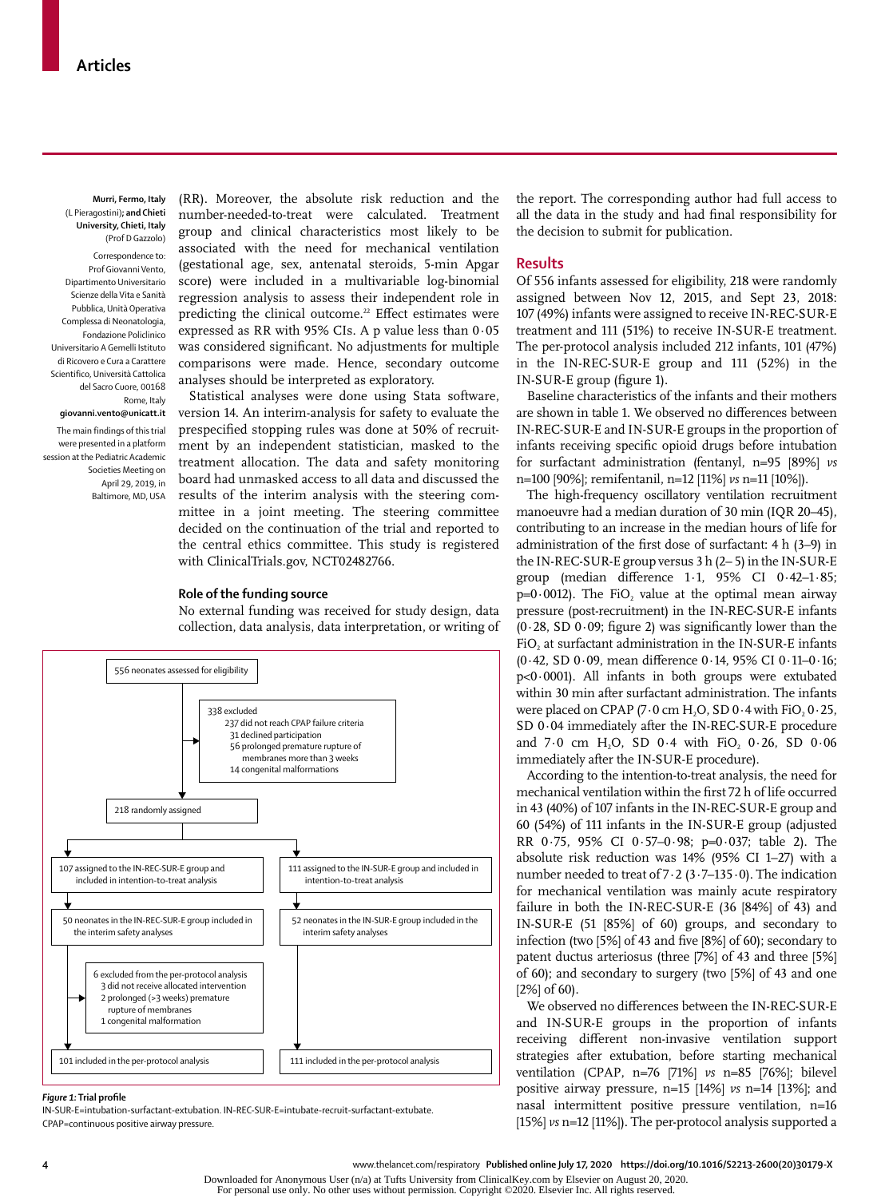**Murri, Fermo, Italy**  (L Pieragostini)**; and Chieti University, Chieti, Italy** (Prof D Gazzolo)

Correspondence to: Prof Giovanni Vento, Dipartimento Universitario Scienze della Vita e Sanità Pubblica, Unità Operativa Complessa di Neonatologia, Fondazione Policlinico Universitario A Gemelli Istituto di Ricovero e Cura a Carattere Scientifico, Università Cattolica del Sacro Cuore, 00168 Rome, Italy

**giovanni.vento@unicatt.it** The main findings of this trial were presented in a platform session at the Pediatric Academic Societies Meeting on April 29, 2019, in Baltimore, MD, USA

(RR). Moreover, the absolute risk reduction and the number-needed-to-treat were calculated. Treatment group and clinical characteristics most likely to be associated with the need for mechanical ventilation (gestational age, sex, antenatal steroids, 5-min Apgar score) were included in a multivariable log-binomial regression analysis to assess their independent role in predicting the clinical outcome.<sup>22</sup> Effect estimates were expressed as RR with 95% CIs. A p value less than  $0.05$ was considered significant. No adjustments for multiple comparisons were made. Hence, secondary outcome analyses should be interpreted as exploratory.

Statistical analyses were done using Stata software, version 14. An interim-analysis for safety to evaluate the prespecified stopping rules was done at 50% of recruitment by an independent statistician, masked to the treatment allocation. The data and safety monitoring board had unmasked access to all data and discussed the results of the interim analysis with the steering committee in a joint meeting. The steering committee decided on the continuation of the trial and reported to the central ethics committee. This study is registered with ClinicalTrials.gov, NCT02482766.

#### **Role of the funding source**

No external funding was received for study design, data collection, data analysis, data interpretation, or writing of



#### *Figure 1:* **Trial profile**

IN-SUR-E=intubation-surfactant-extubation. IN-REC-SUR-E=intubate-recruit-surfactant-extubate. CPAP=continuous positive airway pressure.

the report. The corresponding author had full access to all the data in the study and had final responsibility for the decision to submit for publication.

#### **Results**

Of 556 infants assessed for eligibility, 218 were randomly assigned between Nov 12, 2015, and Sept 23, 2018: 107 (49%) infants were assigned to receive IN-REC-SUR-E treatment and 111 (51%) to receive IN-SUR-E treatment. The per-protocol analysis included 212 infants, 101 (47%) in the IN-REC-SUR-E group and 111 (52%) in the IN-SUR-E group (figure 1).

Baseline characteristics of the infants and their mothers are shown in table 1. We observed no differences between IN-REC-SUR-E and IN-SUR-E groups in the proportion of infants receiving specific opioid drugs before intubation for surfactant administration (fentanyl, n=95 [89%] *vs* n=100 [90%]; remifentanil, n=12 [11%] *vs* n=11 [10%]).

The high-frequency oscillatory ventilation recruitment manoeuvre had a median duration of 30 min (IQR 20–45), contributing to an increase in the median hours of life for administration of the first dose of surfactant: 4 h (3–9) in the IN-REC-SUR-E group versus 3 h (2– 5) in the IN-SUR-E group (median difference 1·1, 95% CI 0·42–1·85;  $p=0.0012$ ). The FiO, value at the optimal mean airway pressure (post-recruitment) in the IN-REC-SUR-E infants  $(0.28, SD\ 0.09;$  figure 2) was significantly lower than the FiO, at surfactant administration in the IN-SUR-E infants (0·42, SD 0·09, mean difference 0·14, 95% CI 0·11–0·16; p<0·0001). All infants in both groups were extubated within 30 min after surfactant administration. The infants were placed on CPAP (7 $\cdot$ 0 cm H<sub>2</sub>O, SD 0 $\cdot$ 4 with FiO<sub>2</sub> 0 $\cdot$ 25, SD 0·04 immediately after the IN-REC-SUR-E procedure and  $7.0 \text{ cm}$  H<sub>2</sub>O, SD 0.4 with FiO<sub>2</sub> 0.26, SD 0.06 immediately after the IN-SUR-E procedure).

According to the intention-to-treat analysis, the need for mechanical ventilation within the first 72 h of life occurred in 43 (40%) of 107 infants in the IN-REC-SUR-E group and 60 (54%) of 111 infants in the IN-SUR-E group (adjusted RR 0·75, 95% CI 0·57–0·98; p=0·037; table 2). The absolute risk reduction was 14% (95% CI 1–27) with a number needed to treat of 7·2 (3·7–135·0). The indication for mechanical ventilation was mainly acute respiratory failure in both the IN-REC-SUR-E (36 [84%] of 43) and IN-SUR-E (51 [85%] of 60) groups, and secondary to infection (two [5%] of 43 and five [8%] of 60); secondary to patent ductus arteriosus (three [7%] of 43 and three [5%] of 60); and secondary to surgery (two [5%] of 43 and one  $[2\%]$  of 60).

We observed no differences between the IN-REC-SUR-E and IN-SUR-E groups in the proportion of infants receiving different non-invasive ventilation support strategies after extubation, before starting mechanical ventilation (CPAP, n=76 [71%] *vs* n=85 [76%]; bilevel positive airway pressure, n=15 [14%] *vs* n=14 [13%]; and nasal intermittent positive pressure ventilation, n=16 [15%] *vs* n=12 [11%]). The per-protocol analysis supported a

**<sup>4</sup>** www.thelancet.com/respiratory **Published online July 17, 2020 https://doi.org/10.1016/S2213-2600(20)30179-X**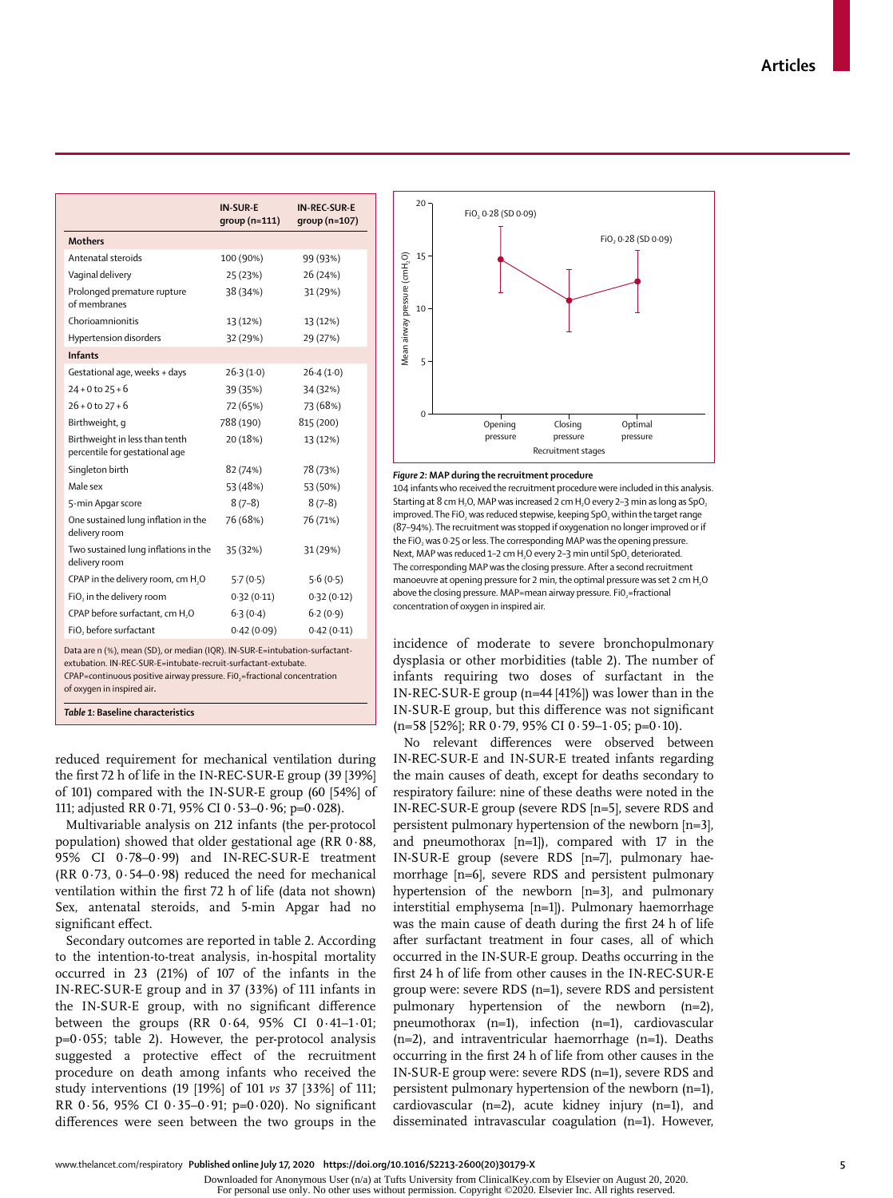|                                                                  | <b>IN-SUR-E</b><br>$group(n=111)$ | <b>IN-REC-SUR-E</b><br>qroup (n=107) |
|------------------------------------------------------------------|-----------------------------------|--------------------------------------|
| <b>Mothers</b>                                                   |                                   |                                      |
| Antenatal steroids                                               | 100 (90%)                         | 99 (93%)                             |
| Vaginal delivery                                                 | 25 (23%)                          | 26 (24%)                             |
| Prolonged premature rupture<br>of membranes                      | 38 (34%)                          | 31 (29%)                             |
| Chorioamnionitis                                                 | 13 (12%)                          | 13 (12%)                             |
| Hypertension disorders                                           | 32 (29%)                          | 29 (27%)                             |
| <b>Infants</b>                                                   |                                   |                                      |
| Gestational age, weeks + days                                    | $26-3(1-0)$                       | 26.4(1.0)                            |
| $24 + 0$ to $25 + 6$                                             | 39 (35%)                          | 34 (32%)                             |
| $26 + 0$ to $27 + 6$                                             | 72 (65%)                          | 73 (68%)                             |
| Birthweight, g                                                   | 788 (190)                         | 815 (200)                            |
| Birthweight in less than tenth<br>percentile for gestational age | 20 (18%)                          | 13 (12%)                             |
| Singleton birth                                                  | 82 (74%)                          | 78 (73%)                             |
| Male sex                                                         | 53 (48%)                          | 53 (50%)                             |
| 5-min Apgar score                                                | $8(7-8)$                          | $8(7-8)$                             |
| One sustained lung inflation in the<br>delivery room             | 76 (68%)                          | 76 (71%)                             |
| Two sustained lung inflations in the<br>delivery room            | 35 (32%)                          | 31 (29%)                             |
| CPAP in the delivery room, cm H <sub>2</sub> O                   | 5.7(0.5)                          | 5.6(0.5)                             |
| FiO, in the delivery room                                        | 0.32(0.11)                        | 0.32(0.12)                           |
| CPAP before surfactant, cm H <sub>2</sub> O                      | 6.3(0.4)                          | 6.2(0.9)                             |
| FiO, before surfactant                                           | 0.42(0.09)                        | 0.42(0.11)                           |

Data are n (%), mean (SD), or median (IQR). IN-SUR-E=intubation-surfactantextubation. IN-REC-SUR-E=intubate-recruit-surfactant-extubate.

CPAP=continuous positive airway pressure. Fi0<sub>3</sub>=fractional concentration of oxygen in inspired air**.**

*Table 1:* **Baseline characteristics**

reduced requirement for mechanical ventilation during the first 72 h of life in the IN-REC-SUR-E group (39 [39%] of 101) compared with the IN-SUR-E group (60 [54%] of 111; adjusted RR 0·71, 95% CI 0·53–0·96; p=0·028).

Multivariable analysis on 212 infants (the per-protocol population) showed that older gestational age (RR 0·88, 95% CI 0·78–0·99) and IN-REC-SUR-E treatment (RR 0·73, 0·54–0·98) reduced the need for mechanical ventilation within the first 72 h of life (data not shown) Sex, antenatal steroids, and 5-min Apgar had no significant effect.

Secondary outcomes are reported in table 2. According to the intention-to-treat analysis, in-hospital mortality occurred in 23 (21%) of 107 of the infants in the IN-REC-SUR-E group and in 37 (33%) of 111 infants in the IN-SUR-E group, with no significant difference between the groups (RR 0·64, 95% CI 0·41–1·01; p=0·055; table 2). However, the per-protocol analysis suggested a protective effect of the recruitment procedure on death among infants who received the study interventions (19 [19%] of 101 *vs* 37 [33%] of 111; RR 0·56, 95% CI 0·35–0·91; p=0·020). No significant differences were seen between the two groups in the



#### *Figure 2:* **MAP during the recruitment procedure**

104 infants who received the recruitment procedure were included in this analysis. Starting at 8 cm H<sub>2</sub>O, MAP was increased 2 cm H<sub>2</sub>O every 2-3 min as long as  $SpO<sub>2</sub>$ improved. The FiO<sub>2</sub> was reduced stepwise, keeping  $SpO<sub>2</sub>$  within the target range (87–94%). The recruitment was stopped if oxygenation no longer improved or if the FiO<sub>2</sub> was 0.25 or less. The corresponding MAP was the opening pressure. Next, MAP was reduced 1-2 cm  $H_2O$  every 2-3 min until SpO<sub>2</sub> deteriorated. The corresponding MAP was the closing pressure. After a second recruitment manoeuvre at opening pressure for 2 min, the optimal pressure was set 2 cm H<sub>2</sub>O above the closing pressure. MAP=mean airway pressure. Fi02=fractional concentration of oxygen in inspired air.

incidence of moderate to severe bronchopulmonary dysplasia or other morbidities (table 2). The number of infants requiring two doses of surfactant in the IN-REC-SUR-E group (n=44 [41%]) was lower than in the IN-SUR-E group, but this difference was not significant  $(n=58 \mid 52\%)$ ; RR 0·79, 95% CI 0·59-1·05; p=0·10).

No relevant differences were observed between IN-REC-SUR-E and IN-SUR-E treated infants regarding the main causes of death, except for deaths secondary to respiratory failure: nine of these deaths were noted in the IN-REC-SUR-E group (severe RDS [n=5], severe RDS and persistent pulmonary hypertension of the newborn [n=3], and pneumothorax [n=1]), compared with 17 in the IN-SUR-E group (severe RDS [n=7], pulmonary haemorrhage [n=6], severe RDS and persistent pulmonary hypertension of the newborn [n=3], and pulmonary interstitial emphysema [n=1]). Pulmonary haemorrhage was the main cause of death during the first 24 h of life after surfactant treatment in four cases, all of which occurred in the IN-SUR-E group. Deaths occurring in the first 24 h of life from other causes in the IN-REC-SUR-E group were: severe RDS (n=1), severe RDS and persistent pulmonary hypertension of the newborn (n=2), pneumothorax (n=1), infection (n=1), cardiovascular (n=2), and intraventricular haemorrhage (n=1). Deaths occurring in the first 24 h of life from other causes in the IN-SUR-E group were: severe RDS (n=1), severe RDS and persistent pulmonary hypertension of the newborn (n=1), cardiovascular (n=2), acute kidney injury (n=1), and disseminated intravascular coagulation (n=1). However,

www.thelancet.com/respiratory **Published online July 17, 2020 https://doi.org/10.1016/S2213-2600(20)30179-X 5**

Downloaded for Anonymous User (n/a) at Tufts University from ClinicalKey.com by Elsevier on August 20, 2020.

For personal use only. No other uses without permission. Copyright ©2020. Elsevier Inc. All rights reserved.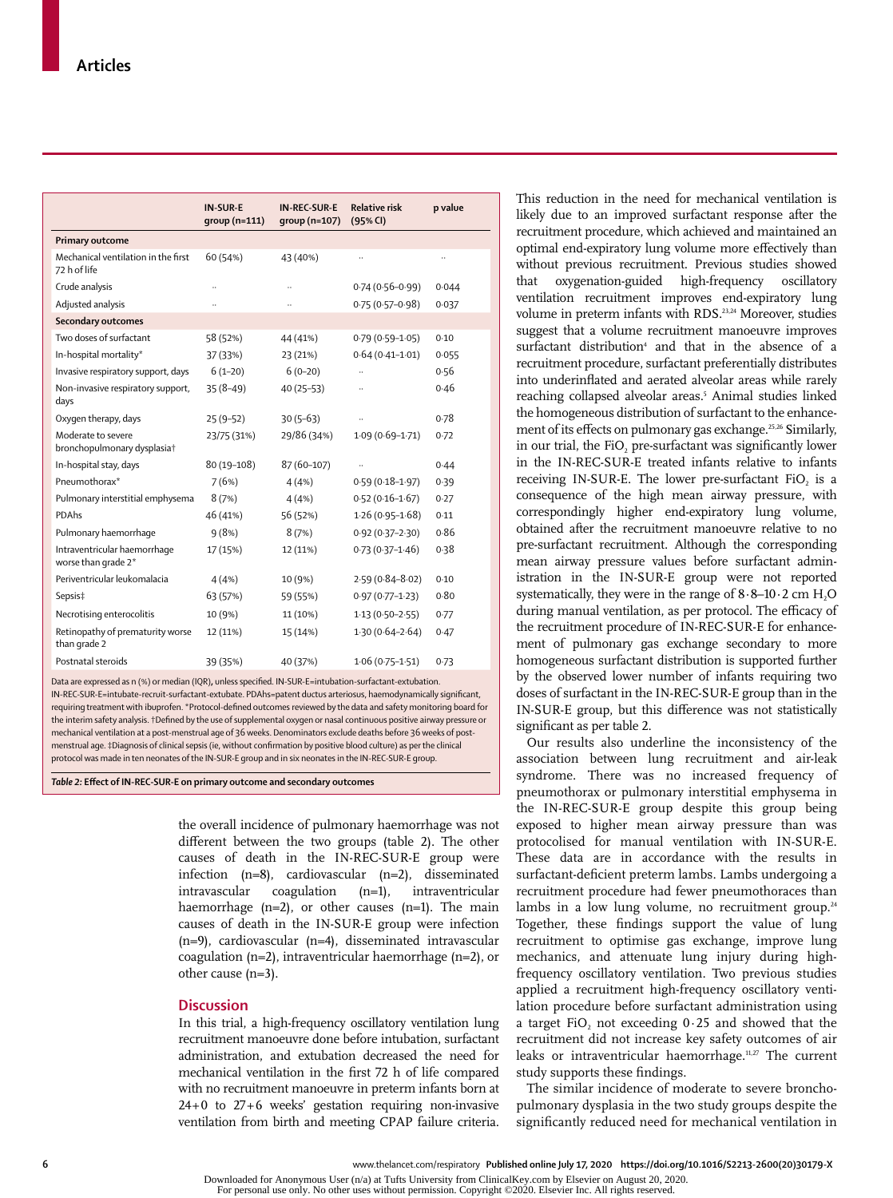|                                                               | <b>IN-SUR-E</b><br>$group(n=111)$ | <b>IN-REC-SUR-E</b><br>group (n=107) | <b>Relative risk</b><br>(95% CI) | p value |
|---------------------------------------------------------------|-----------------------------------|--------------------------------------|----------------------------------|---------|
| <b>Primary outcome</b>                                        |                                   |                                      |                                  |         |
| Mechanical ventilation in the first<br>72 h of life           | 60 (54%)                          | 43 (40%)                             |                                  |         |
| Crude analysis                                                |                                   | $\ddotsc$                            | $0.74(0.56 - 0.99)$              | 0.044   |
| Adjusted analysis                                             |                                   |                                      | $0.75(0.57-0.98)$                | 0.037   |
| <b>Secondary outcomes</b>                                     |                                   |                                      |                                  |         |
| Two doses of surfactant                                       | 58 (52%)                          | 44 (41%)                             | $0.79(0.59 - 1.05)$              | 0.10    |
| In-hospital mortality*                                        | 37 (33%)                          | 23 (21%)                             | $0.64(0.41 - 1.01)$              | 0.055   |
| Invasive respiratory support, days                            | $6(1-20)$                         | $6(0-20)$                            |                                  | 0.56    |
| Non-invasive respiratory support,<br>days                     | $35(8-49)$                        | $40(25-53)$                          |                                  | 0.46    |
| Oxygen therapy, days                                          | $25(9-52)$                        | $30(5-63)$                           |                                  | 0.78    |
| Moderate to severe<br>bronchopulmonary dysplasia <sup>+</sup> | 23/75 (31%)                       | 29/86 (34%)                          | $1.09(0.69 - 1.71)$              | 0.72    |
| In-hospital stay, days                                        | 80 (19-108)                       | 87 (60-107)                          |                                  | 0.44    |
| Pneumothorax*                                                 | 7(6%)                             | 4(4%)                                | $0.59(0.18-1.97)$                | 0.39    |
| Pulmonary interstitial emphysema                              | 8(7%)                             | 4(4%)                                | $0.52(0.16 - 1.67)$              | 0.27    |
| PDAhs                                                         | 46 (41%)                          | 56 (52%)                             | $1.26(0.95 - 1.68)$              | 0.11    |
| Pulmonary haemorrhage                                         | 9(8%)                             | 8(7%)                                | $0.92(0.37 - 2.30)$              | 0.86    |
| Intraventricular haemorrhage<br>worse than grade 2*           | 17 (15%)                          | 12 (11%)                             | $0.73(0.37 - 1.46)$              | 0.38    |
| Periventricular leukomalacia                                  | 4(4%)                             | 10 (9%)                              | $2.59(0.84 - 8.02)$              | 0.10    |
| Sepsis‡                                                       | 63 (57%)                          | 59 (55%)                             | $0.97(0.77 - 1.23)$              | 0.80    |
| Necrotising enterocolitis                                     | 10 (9%)                           | 11 (10%)                             | $1.13(0.50 - 2.55)$              | 0.77    |
| Retinopathy of prematurity worse<br>than grade 2              | 12 (11%)                          | 15 (14%)                             | $1.30(0.64 - 2.64)$              | 0.47    |
| Postnatal steroids                                            | 39 (35%)                          | 40 (37%)                             | $1.06(0.75 - 1.51)$              | 0.73    |

Data are expressed as n (%) or median (IQR)**,** unless specified. IN-SUR-E=intubation-surfactant-extubation. IN-REC-SUR-E=intubate-recruit-surfactant-extubate. PDAhs=patent ductus arteriosus, haemodynamically significant, requiring treatment with ibuprofen. \*Protocol-defined outcomes reviewed by the data and safety monitoring board for the interim safety analysis. †Defined by the use of supplemental oxygen or nasal continuous positive airway pressure or mechanical ventilation at a post-menstrual age of 36 weeks. Denominators exclude deaths before 36 weeks of postmenstrual age. ‡Diagnosis of clinical sepsis (ie, without confirmation by positive blood culture) as per the clinical protocol was made in ten neonates of the IN-SUR-E group and in six neonates in the IN-REC-SUR-E group.

*Table 2:* **Effect of IN-REC-SUR-E on primary outcome and secondary outcomes**

the overall incidence of pulmonary haemorrhage was not different between the two groups (table 2). The other causes of death in the IN-REC-SUR-E group were infection (n=8), cardiovascular (n=2), disseminated intravascular coagulation (n=1), intraventricular haemorrhage  $(n=2)$ , or other causes  $(n=1)$ . The main causes of death in the IN-SUR-E group were infection (n=9), cardiovascular (n=4), disseminated intravascular coagulation (n=2), intraventricular haemorrhage (n=2), or other cause (n=3).

### **Discussion**

In this trial, a high-frequency oscillatory ventilation lung recruitment manoeuvre done before intubation, surfactant administration, and extubation decreased the need for mechanical ventilation in the first 72 h of life compared with no recruitment manoeuvre in preterm infants born at 24+0 to 27+6 weeks' gestation requiring non-invasive ventilation from birth and meeting CPAP failure criteria. This reduction in the need for mechanical ventilation is likely due to an improved surfactant response after the recruitment procedure, which achieved and maintained an optimal end-expiratory lung volume more effectively than without previous recruitment. Previous studies showed that oxygenation-guided high-frequency oscillatory ventilation recruitment improves end-expiratory lung volume in preterm infants with RDS.<sup>23,24</sup> Moreover, studies suggest that a volume recruitment manoeuvre improves surfactant distribution<sup>4</sup> and that in the absence of a recruitment procedure, surfactant preferentially distributes into underinflated and aerated alveolar areas while rarely reaching collapsed alveolar areas.<sup>5</sup> Animal studies linked the homogeneous distribution of surfactant to the enhancement of its effects on pulmonary gas exchange.25,26 Similarly, in our trial, the  $FiO<sub>2</sub>$  pre-surfactant was significantly lower in the IN-REC-SUR-E treated infants relative to infants receiving IN-SUR-E. The lower pre-surfactant FiO<sub>2</sub> is a consequence of the high mean airway pressure, with correspondingly higher end-expiratory lung volume, obtained after the recruitment manoeuvre relative to no pre-surfactant recruitment. Although the corresponding mean airway pressure values before surfactant administration in the IN-SUR-E group were not reported systematically, they were in the range of  $8.8-10.2$  cm H<sub>2</sub>O during manual ventilation, as per protocol. The efficacy of the recruitment procedure of IN-REC-SUR-E for enhancement of pulmonary gas exchange secondary to more homogeneous surfactant distribution is supported further by the observed lower number of infants requiring two doses of surfactant in the IN-REC-SUR-E group than in the IN-SUR-E group, but this difference was not statistically significant as per table 2.

Our results also underline the inconsistency of the association between lung recruitment and air-leak syndrome. There was no increased frequency of pneumothorax or pulmonary interstitial emphysema in the IN-REC-SUR-E group despite this group being exposed to higher mean airway pressure than was protocolised for manual ventilation with IN-SUR-E. These data are in accordance with the results in surfactant-deficient preterm lambs. Lambs undergoing a recruitment procedure had fewer pneumothoraces than lambs in a low lung volume, no recruitment group.<sup>24</sup> Together, these findings support the value of lung recruitment to optimise gas exchange, improve lung mechanics, and attenuate lung injury during highfrequency oscillatory ventilation. Two previous studies applied a recruitment high-frequency oscillatory ventilation procedure before surfactant administration using a target FiO, not exceeding  $0.25$  and showed that the recruitment did not increase key safety outcomes of air leaks or intraventricular haemorrhage.<sup>11,27</sup> The current study supports these findings.

The similar incidence of moderate to severe bronchopulmonary dysplasia in the two study groups despite the significantly reduced need for mechanical ventilation in

Downloaded for Anonymous User (n/a) at Tufts University from ClinicalKey.com by Elsevier on August 20, 2020. For personal use only. No other uses without permission. Copyright ©2020. Elsevier Inc. All rights reserved.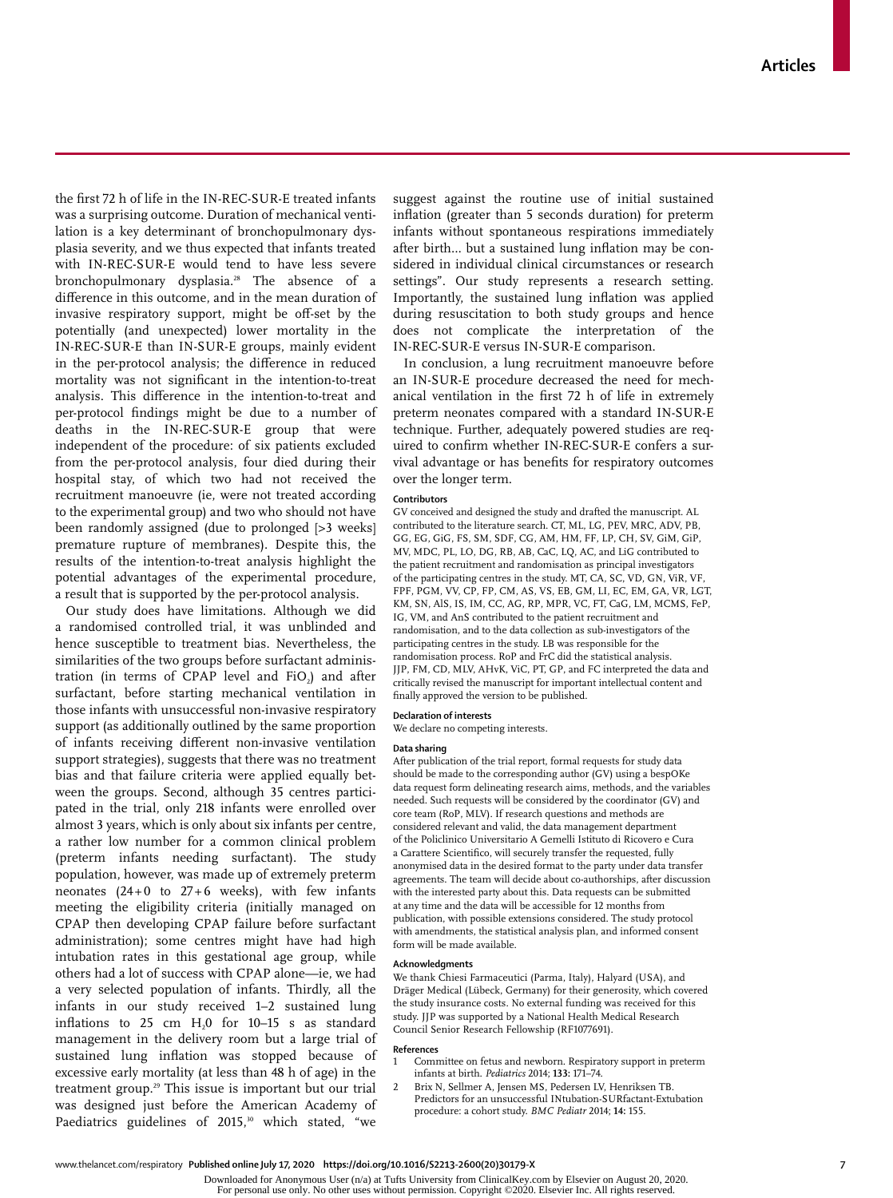the first 72 h of life in the IN-REC-SUR-E treated infants was a surprising outcome. Duration of mechanical ventilation is a key determinant of bronchopulmonary dysplasia severity, and we thus expected that infants treated with IN-REC-SUR-E would tend to have less severe bronchopulmonary dysplasia.28 The absence of a difference in this outcome, and in the mean duration of invasive respiratory support, might be off-set by the potentially (and unexpected) lower mortality in the IN-REC-SUR-E than IN-SUR-E groups, mainly evident in the per-protocol analysis; the difference in reduced mortality was not significant in the intention-to-treat analysis. This difference in the intention-to-treat and per-protocol findings might be due to a number of deaths in the IN-REC-SUR-E group that were independent of the procedure: of six patients excluded from the per-protocol analysis, four died during their hospital stay, of which two had not received the recruitment manoeuvre (ie, were not treated according to the experimental group) and two who should not have been randomly assigned (due to prolonged [>3 weeks] premature rupture of membranes). Despite this, the results of the intention-to-treat analysis highlight the potential advantages of the experimental procedure, a result that is supported by the per-protocol analysis.

Our study does have limitations. Although we did a randomised controlled trial, it was unblinded and hence susceptible to treatment bias. Nevertheless, the similarities of the two groups before surfactant administration (in terms of CPAP level and  $FiO<sub>2</sub>$ ) and after surfactant, before starting mechanical ventilation in those infants with unsuccessful non-invasive respiratory support (as additionally outlined by the same proportion of infants receiving different non-invasive ventilation support strategies), suggests that there was no treatment bias and that failure criteria were applied equally between the groups. Second, although 35 centres participated in the trial, only 218 infants were enrolled over almost 3 years, which is only about six infants per centre, a rather low number for a common clinical problem (preterm infants needing surfactant). The study population, however, was made up of extremely preterm neonates  $(24+0)$  to  $27+6$  weeks), with few infants meeting the eligibility criteria (initially managed on CPAP then developing CPAP failure before surfactant administration); some centres might have had high intubation rates in this gestational age group, while others had a lot of success with CPAP alone—ie, we had a very selected population of infants. Thirdly, all the infants in our study received 1–2 sustained lung inflations to  $25$  cm  $H<sub>2</sub>0$  for  $10-15$  s as standard management in the delivery room but a large trial of sustained lung inflation was stopped because of excessive early mortality (at less than 48 h of age) in the treatment group.<sup>29</sup> This issue is important but our trial was designed just before the American Academy of Paediatrics guidelines of 2015,<sup>30</sup> which stated, "we

suggest against the routine use of initial sustained inflation (greater than 5 seconds duration) for preterm infants without spontaneous respirations immediately after birth… but a sustained lung inflation may be considered in individual clinical circumstances or research settings". Our study represents a research setting. Importantly, the sustained lung inflation was applied during resuscitation to both study groups and hence does not complicate the interpretation of the IN-REC-SUR-E versus IN-SUR-E comparison.

In conclusion, a lung recruitment manoeuvre before an IN-SUR-E procedure decreased the need for mechanical ventilation in the first 72 h of life in extremely preterm neonates compared with a standard IN-SUR-E technique. Further, adequately powered studies are required to confirm whether IN-REC-SUR-E confers a survival advantage or has benefits for respiratory outcomes over the longer term.

#### **Contributors**

GV conceived and designed the study and drafted the manuscript. AL contributed to the literature search. CT, ML, LG, PEV, MRC, ADV, PB, GG, EG, GiG, FS, SM, SDF, CG, AM, HM, FF, LP, CH, SV, GiM, GiP, MV, MDC, PL, LO, DG, RB, AB, CaC, LQ, AC, and LiG contributed to the patient recruitment and randomisation as principal investigators of the participating centres in the study. MT, CA, SC, VD, GN, ViR, VF, FPF, PGM, VV, CP, FP, CM, AS, VS, EB, GM, LI, EC, EM, GA, VR, LGT, KM, SN, AlS, IS, IM, CC, AG, RP, MPR, VC, FT, CaG, LM, MCMS, FeP, IG, VM, and AnS contributed to the patient recruitment and randomisation, and to the data collection as sub-investigators of the participating centres in the study. LB was responsible for the randomisation process. RoP and FrC did the statistical analysis. JJP, FM, CD, MLV, AHvK, ViC, PT, GP, and FC interpreted the data and critically revised the manuscript for important intellectual content and finally approved the version to be published.

## **Declaration of interests**

We declare no competing interests.

#### **Data sharing**

After publication of the trial report, formal requests for study data should be made to the corresponding author (GV) using a bespOKe data request form delineating research aims, methods, and the variables needed. Such requests will be considered by the coordinator (GV) and core team (RoP, MLV). If research questions and methods are considered relevant and valid, the data management department of the Policlinico Universitario A Gemelli Istituto di Ricovero e Cura a Carattere Scientifico, will securely transfer the requested, fully anonymised data in the desired format to the party under data transfer agreements. The team will decide about co-authorships, after discussion with the interested party about this. Data requests can be submitted at any time and the data will be accessible for 12 months from publication, with possible extensions considered. The study protocol with amendments, the statistical analysis plan, and informed consent form will be made available.

### **Acknowledgments**

We thank Chiesi Farmaceutici (Parma, Italy), Halyard (USA), and Dräger Medical (Lübeck, Germany) for their generosity, which covered the study insurance costs. No external funding was received for this study. JJP was supported by a National Health Medical Research Council Senior Research Fellowship (RF1077691).

#### **References**

- Committee on fetus and newborn. Respiratory support in preterm infants at birth. *Pediatrics* 2014; **133:** 171–74.
- 2 Brix N, Sellmer A, Jensen MS, Pedersen LV, Henriksen TB. Predictors for an unsuccessful INtubation-SURfactant-Extubation procedure: a cohort study. *BMC Pediatr* 2014; **14:** 155.

Downloaded for Anonymous User (n/a) at Tufts University from ClinicalKey.com by Elsevier on August 20, 2020.

For personal use only. No other uses without permission. Copyright ©2020. Elsevier Inc. All rights reserved.